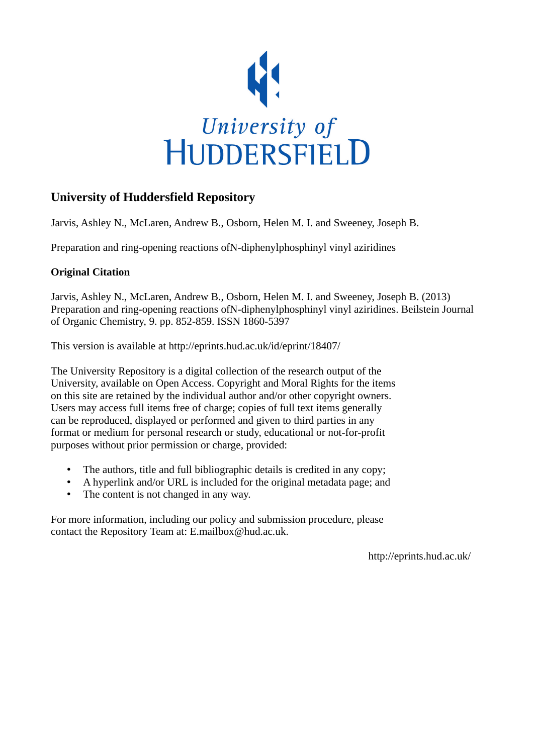

# **University of Huddersfield Repository**

Jarvis, Ashley N., McLaren, Andrew B., Osborn, Helen M. I. and Sweeney, Joseph B.

Preparation and ring-opening reactions ofN-diphenylphosphinyl vinyl aziridines

# **Original Citation**

Jarvis, Ashley N., McLaren, Andrew B., Osborn, Helen M. I. and Sweeney, Joseph B. (2013) Preparation and ring-opening reactions ofN-diphenylphosphinyl vinyl aziridines. Beilstein Journal of Organic Chemistry, 9. pp. 852-859. ISSN 1860-5397

This version is available at http://eprints.hud.ac.uk/id/eprint/18407/

The University Repository is a digital collection of the research output of the University, available on Open Access. Copyright and Moral Rights for the items on this site are retained by the individual author and/or other copyright owners. Users may access full items free of charge; copies of full text items generally can be reproduced, displayed or performed and given to third parties in any format or medium for personal research or study, educational or not-for-profit purposes without prior permission or charge, provided:

- The authors, title and full bibliographic details is credited in any copy;
- A hyperlink and/or URL is included for the original metadata page; and
- The content is not changed in any way.

For more information, including our policy and submission procedure, please contact the Repository Team at: E.mailbox@hud.ac.uk.

http://eprints.hud.ac.uk/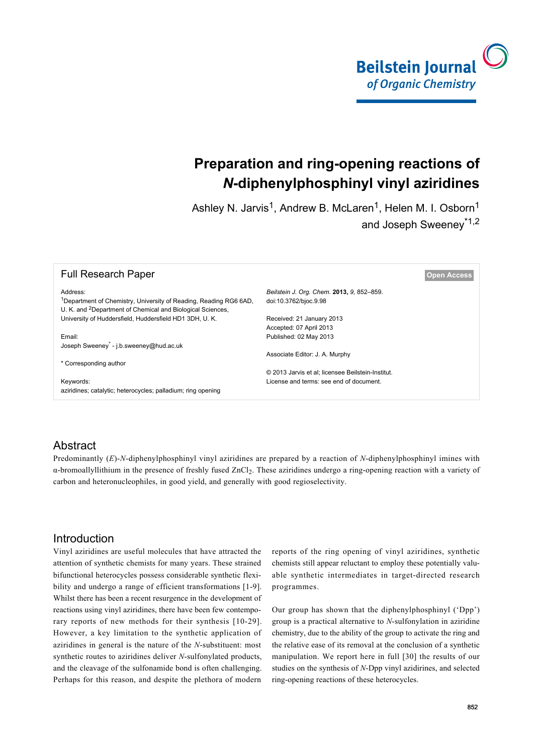

# **Preparation and ring-opening reactions of** *N***-diphenylphosphinyl vinyl aziridines**

Ashley N. Jarvis<sup>1</sup>, Andrew B. McLaren<sup>1</sup>, Helen M. I. Osborn<sup>1</sup> and Joseph Sweeney\*1,2

| <b>Full Research Paper</b>                                                                                                                              |                                                   | <b>Open Access</b> |
|---------------------------------------------------------------------------------------------------------------------------------------------------------|---------------------------------------------------|--------------------|
| Address:                                                                                                                                                | Beilstein J. Org. Chem. 2013, 9, 852-859.         |                    |
| <sup>1</sup> Department of Chemistry, University of Reading, Reading RG6 6AD,<br>U. K. and <sup>2</sup> Department of Chemical and Biological Sciences, | doi:10.3762/bjoc.9.98                             |                    |
| University of Huddersfield, Huddersfield HD1 3DH, U.K.                                                                                                  | Received: 21 January 2013                         |                    |
|                                                                                                                                                         | Accepted: 07 April 2013                           |                    |
| Email:                                                                                                                                                  | Published: 02 May 2013                            |                    |
| Joseph Sweeney - j.b.sweeney@hud.ac.uk                                                                                                                  |                                                   |                    |
|                                                                                                                                                         | Associate Editor: J. A. Murphy                    |                    |
| * Corresponding author                                                                                                                                  |                                                   |                    |
|                                                                                                                                                         | © 2013 Jarvis et al; licensee Beilstein-Institut. |                    |
| Keywords:                                                                                                                                               | License and terms: see end of document.           |                    |
| aziridines; catalytic; heterocycles; palladium; ring opening                                                                                            |                                                   |                    |

## Abstract

Predominantly (*E*)-*N*-diphenylphosphinyl vinyl aziridines are prepared by a reaction of *N*-diphenylphosphinyl imines with  $\alpha$ -bromoallyllithium in the presence of freshly fused ZnCl<sub>2</sub>. These aziridines undergo a ring-opening reaction with a variety of carbon and heteronucleophiles, in good yield, and generally with good regioselectivity.

## Introduction

Vinyl aziridines are useful molecules that have attracted the attention of synthetic chemists for many years. These strained bifunctional heterocycles possess considerable synthetic flexibility and undergo a range of efficient transformations [\[1-9\]](#page-8-0). Whilst there has been a recent resurgence in the development of reactions using vinyl aziridines, there have been few contemporary reports of new methods for their synthesis [\[10-29\]](#page-8-1). However, a key limitation to the synthetic application of aziridines in general is the nature of the *N*-substituent: most synthetic routes to aziridines deliver *N*-sulfonylated products, and the cleavage of the sulfonamide bond is often challenging. Perhaps for this reason, and despite the plethora of modern

reports of the ring opening of vinyl aziridines, synthetic chemists still appear reluctant to employ these potentially valuable synthetic intermediates in target-directed research programmes.

Our group has shown that the diphenylphosphinyl ('Dpp') group is a practical alternative to *N*-sulfonylation in aziridine chemistry, due to the ability of the group to activate the ring and the relative ease of its removal at the conclusion of a synthetic manipulation. We report here in full [\[30\]](#page-8-2) the results of our studies on the synthesis of *N*-Dpp vinyl azidirines, and selected ring-opening reactions of these heterocycles.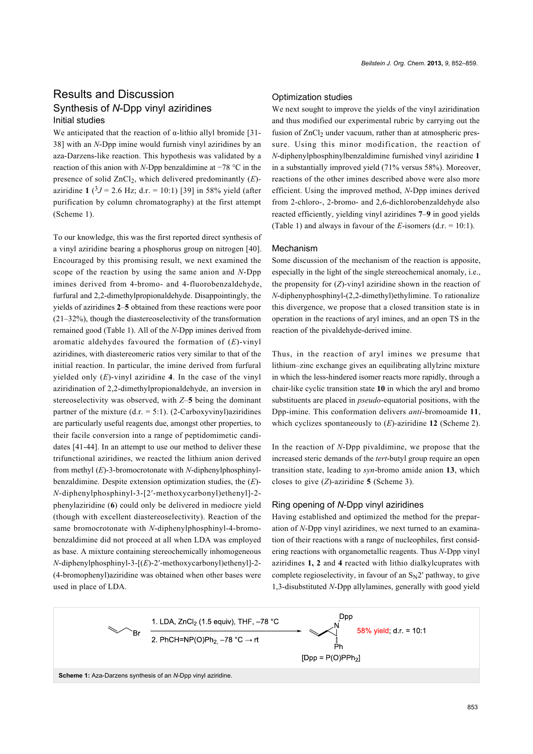## Results and Discussion Synthesis of *N*-Dpp vinyl aziridines Initial studies

We anticipated that the reaction of  $\alpha$ -lithio allyl bromide [\[31-](#page-8-3) [38\]](#page-8-3) with an *N*-Dpp imine would furnish vinyl aziridines by an aza-Darzens-like reaction. This hypothesis was validated by a reaction of this anion with *N*-Dpp benzaldimine at −78 °C in the presence of solid ZnCl2, which delivered predominantly (*E*) aziridine **1**  $(3J = 2.6 \text{ Hz}; d.r. = 10:1)$  [\[39\]](#page-8-4) in 58% yield (after purification by column chromatography) at the first attempt ([Scheme 1\)](#page-2-0).

To our knowledge, this was the first reported direct synthesis of a vinyl aziridine bearing a phosphorus group on nitrogen [\[40\]](#page-8-5). Encouraged by this promising result, we next examined the scope of the reaction by using the same anion and *N*-Dpp imines derived from 4-bromo- and 4-fluorobenzaldehyde, furfural and 2,2-dimethylpropionaldehyde. Disappointingly, the yields of aziridines **2**–**5** obtained from these reactions were poor (21–32%), though the diastereoselectivity of the transformation remained good ([Table 1](#page-3-0)). All of the *N*-Dpp imines derived from aromatic aldehydes favoured the formation of (*E*)-vinyl aziridines, with diastereomeric ratios very similar to that of the initial reaction. In particular, the imine derived from furfural yielded only (*E*)-vinyl aziridine **4**. In the case of the vinyl aziridination of 2,2-dimethylpropionaldehyde, an inversion in stereoselectivity was observed, with *Z*–**5** being the dominant partner of the mixture  $(d.r. = 5:1)$ . (2-Carboxyvinyl)aziridines are particularly useful reagents due, amongst other properties, to their facile conversion into a range of peptidomimetic candidates [\[41-44\].](#page-8-6) In an attempt to use our method to deliver these trifunctional aziridines, we reacted the lithium anion derived from methyl (*E*)-3-bromocrotonate with *N*-diphenylphosphinylbenzaldimine. Despite extension optimization studies, the (*E*)- *N*-diphenylphosphinyl-3-[2′-methoxycarbonyl)ethenyl]-2 phenylaziridine (**6**) could only be delivered in mediocre yield (though with excellent diastereoselectivity). Reaction of the same bromocrotonate with *N*-diphenylphosphinyl-4-bromobenzaldimine did not proceed at all when LDA was employed as base. A mixture containing stereochemically inhomogeneous *N*-diphenylphosphinyl-3-[(*E*)-2′-methoxycarbonyl)ethenyl]-2- (4-bromophenyl)aziridine was obtained when other bases were used in place of LDA.

#### Optimization studies

We next sought to improve the yields of the vinyl aziridination and thus modified our experimental rubric by carrying out the fusion of ZnCl<sub>2</sub> under vacuum, rather than at atmospheric pressure. Using this minor modification, the reaction of *N*-diphenylphosphinylbenzaldimine furnished vinyl aziridine **1** in a substantially improved yield (71% versus 58%). Moreover, reactions of the other imines described above were also more efficient. Using the improved method, *N*-Dpp imines derived from 2-chloro-, 2-bromo- and 2,6-dichlorobenzaldehyde also reacted efficiently, yielding vinyl aziridines **7**–**9** in good yields ([Table 1](#page-3-0)) and always in favour of the *E*-isomers (d.r. = 10:1).

#### Mechanism

Some discussion of the mechanism of the reaction is apposite, especially in the light of the single stereochemical anomaly, i.e., the propensity for (*Z*)-vinyl aziridine shown in the reaction of *N*-diphenyphosphinyl-(2,2-dimethyl)ethylimine. To rationalize this divergence, we propose that a closed transition state is in operation in the reactions of aryl imines, and an open TS in the reaction of the pivaldehyde-derived imine.

Thus, in the reaction of aryl imines we presume that lithium–zinc exchange gives an equilibrating allylzinc mixture in which the less-hindered isomer reacts more rapidly, through a chair-like cyclic transition state **10** in which the aryl and bromo substituents are placed in *pseudo*-equatorial positions, with the Dpp-imine. This conformation delivers *anti*-bromoamide **11**, which cyclizes spontaneously to (*E*)-aziridine **12** ([Scheme 2](#page-3-1)).

In the reaction of *N*-Dpp pivaldimine, we propose that the increased steric demands of the *tert*-butyl group require an open transition state, leading to *syn*-bromo amide anion **13**, which closes to give (*Z*)-aziridine **5** [\(Scheme 3\)](#page-4-0).

#### Ring opening of *N*-Dpp vinyl aziridines

Having established and optimized the method for the preparation of *N*-Dpp vinyl aziridines, we next turned to an examination of their reactions with a range of nucleophiles, first considering reactions with organometallic reagents. Thus *N*-Dpp vinyl aziridines **1, 2** and **4** reacted with lithio dialkylcuprates with complete regioselectivity, in favour of an  $S_N2'$  pathway, to give 1,3-disubstituted *N*-Dpp allylamines, generally with good yield

<span id="page-2-0"></span>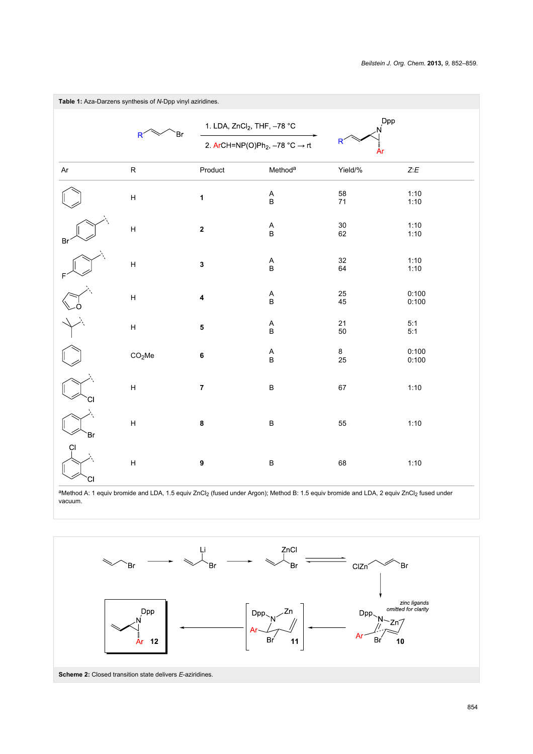<span id="page-3-0"></span>

<span id="page-3-1"></span>aMethod A: 1 equiv bromide and LDA, 1.5 equiv ZnCl<sub>2</sub> (fused under Argon); Method B: 1.5 equiv bromide and LDA, 2 equiv ZnCl<sub>2</sub> fused under vacuum.

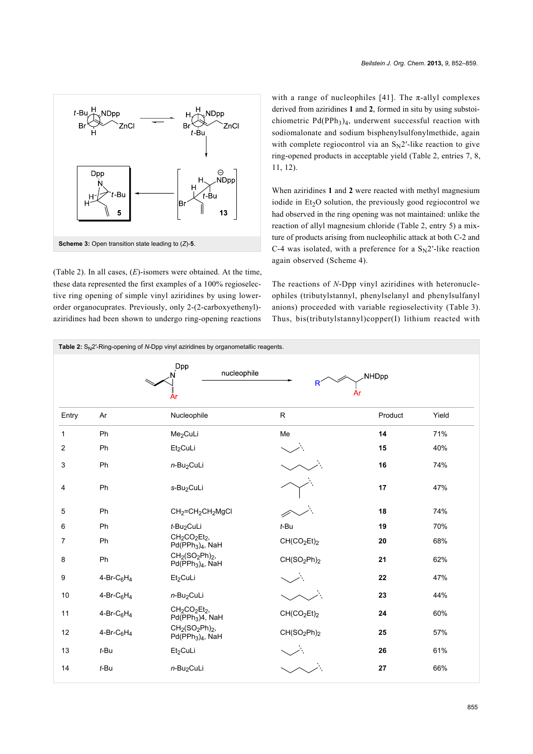<span id="page-4-0"></span>

([Table 2](#page-4-1)). In all cases, (*E*)-isomers were obtained. At the time, these data represented the first examples of a 100% regioselective ring opening of simple vinyl aziridines by using lowerorder organocuprates. Previously, only 2-(2-carboxyethenyl) aziridines had been shown to undergo ring-opening reactions

with a range of nucleophiles [\[41\]](#page-8-6). The  $\pi$ -allyl complexes derived from aziridines **1** and **2**, formed in situ by using substoichiometric  $Pd(PPh<sub>3</sub>)<sub>4</sub>$ , underwent successful reaction with sodiomalonate and sodium bisphenylsulfonylmethide, again with complete regiocontrol via an  $S_N2'$ -like reaction to give ring-opened products in acceptable yield [\(Table 2,](#page-4-1) entries 7, 8, 11, 12).

When aziridines **1** and **2** were reacted with methyl magnesium iodide in  $Et<sub>2</sub>O$  solution, the previously good regiocontrol we had observed in the ring opening was not maintained: unlike the reaction of allyl magnesium chloride ([Table 2](#page-4-1), entry 5) a mixture of products arising from nucleophilic attack at both C-2 and C-4 was isolated, with a preference for a  $S_N2'$ -like reaction again observed ([Scheme 4](#page-5-0)).

The reactions of *N*-Dpp vinyl aziridines with heteronucleophiles (tributylstannyl, phenylselanyl and phenylsulfanyl anions) proceeded with variable regioselectivity [\(Table 3\)](#page-5-1). Thus, bis(tributylstannyl)copper(I) lithium reacted with

<span id="page-4-1"></span>

| Table 2: $S_N2'$ -Ring-opening of N-Dpp vinyl aziridines by organometallic reagents. |                            |                                                                                               |                                     |              |       |  |  |
|--------------------------------------------------------------------------------------|----------------------------|-----------------------------------------------------------------------------------------------|-------------------------------------|--------------|-------|--|--|
|                                                                                      |                            | Dpp<br>nucleophile<br>År                                                                      | R<br>Ar                             | <b>NHDpp</b> |       |  |  |
| Entry                                                                                | Ar                         | Nucleophile                                                                                   | ${\sf R}$                           | Product      | Yield |  |  |
| $\mathbf{1}$                                                                         | Ph                         | Me <sub>2</sub> CuLi                                                                          | Me                                  | 14           | 71%   |  |  |
| 2                                                                                    | Ph                         | Et2CuLi                                                                                       |                                     | 15           | 40%   |  |  |
| 3                                                                                    | Ph                         | n-Bu <sub>2</sub> CuLi                                                                        |                                     | 16           | 74%   |  |  |
| 4                                                                                    | Ph                         | s-Bu <sub>2</sub> CuLi                                                                        |                                     | 17           | 47%   |  |  |
| 5                                                                                    | Ph                         | CH <sub>2</sub> =CH <sub>2</sub> CH <sub>2</sub> MgCl                                         |                                     | 18           | 74%   |  |  |
| 6                                                                                    | Ph                         | $t$ -Bu <sub>2</sub> CuLi                                                                     | $t$ -Bu                             | 19           | 70%   |  |  |
| $\overline{7}$                                                                       | Ph                         | CH <sub>2</sub> CO <sub>2</sub> Et <sub>2</sub> ,<br>Pd(PPh <sub>3</sub> ) <sub>4</sub> , NaH | CH(CO <sub>2</sub> Et) <sub>2</sub> | 20           | 68%   |  |  |
| 8                                                                                    | Ph                         | $CH2(SO2Ph)2$ ,<br>$Pd(PPh3)4$ , NaH                                                          | CH(SO <sub>2</sub> Ph) <sub>2</sub> | 21           | 62%   |  |  |
| 9                                                                                    | $4-Br-C_6H_4$              | Et2CuLi                                                                                       |                                     | 22           | 47%   |  |  |
| 10                                                                                   | $4-Br-C6H4$                | n-Bu <sub>2</sub> CuLi                                                                        |                                     | 23           | 44%   |  |  |
| 11                                                                                   | 4-Br-C $_6$ H <sub>4</sub> | CH <sub>2</sub> CO <sub>2</sub> Et <sub>2</sub> ,<br>Pd(PPh <sub>3</sub> )4, NaH              | CH(CO <sub>2</sub> Et) <sub>2</sub> | 24           | 60%   |  |  |
| 12                                                                                   | 4-Br-C $_6$ H <sub>4</sub> | $CH2(SO2Ph)2$ ,<br>$Pd(PPh3)4$ , NaH                                                          | CH(SO <sub>2</sub> Ph) <sub>2</sub> | 25           | 57%   |  |  |
| 13                                                                                   | $t$ -Bu                    | Et <sub>2</sub> CuLi                                                                          |                                     | 26           | 61%   |  |  |
| 14                                                                                   | $t$ -Bu                    | $n$ -Bu <sub>2</sub> CuLi                                                                     |                                     | 27           | 66%   |  |  |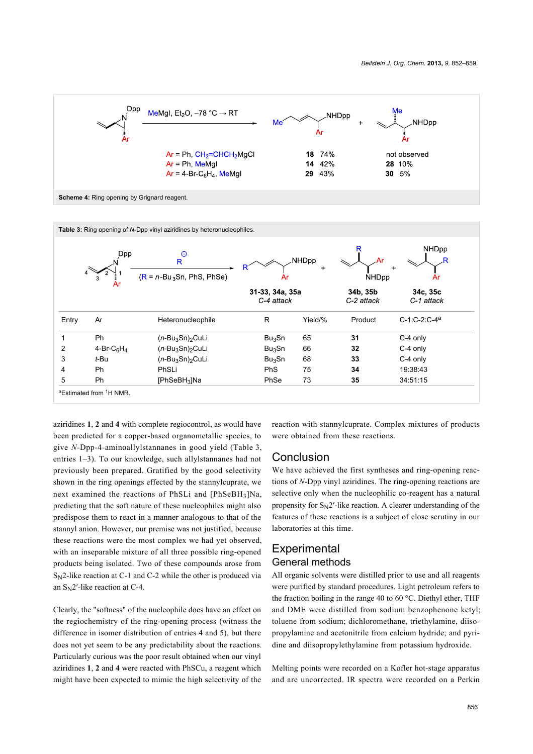<span id="page-5-0"></span>

<span id="page-5-1"></span>

| Table 3: Ring opening of N-Dpp vinyl aziridines by heteronucleophiles. |                  |                                               |                               |            |                        |                                 |  |
|------------------------------------------------------------------------|------------------|-----------------------------------------------|-------------------------------|------------|------------------------|---------------------------------|--|
|                                                                        | <b>Dpp</b><br>Ar | $\Theta$<br>R.<br>$(R = n-Bu_3Sn, PhS, PhSe)$ | Ar                            | NHDpp<br>÷ | <b>NHDpp</b>           | <b>NHDpp</b><br>$\ddot{}$<br>Ar |  |
|                                                                        |                  |                                               | 31-33, 34a, 35a<br>C-4 attack |            | 34b, 35b<br>C-2 attack | 34c, 35c<br>C-1 attack          |  |
| Entry                                                                  | Ar               | Heteronucleophile                             | R                             | Yield/%    | Product                | $C-1:C-2:C-4^a$                 |  |
|                                                                        | <b>Ph</b>        | $(n$ -Bu <sub>3</sub> Sn) <sub>2</sub> CuLi   | $Bu_3$ Sn                     | 65         | 31                     | C-4 only                        |  |
| $\overline{2}$                                                         | 4-Br- $C_6H_4$   | $(n-Bu_3Sn)$ <sub>2</sub> CuLi                | $Bu_3$ Sn                     | 66         | 32                     | C-4 only                        |  |
| 3                                                                      | t-Bu             | $(n-Bu_3Sn)$ <sub>2</sub> CuLi                | Bu <sub>3</sub> Sn            | 68         | 33                     | C-4 only                        |  |
| 4                                                                      | <b>Ph</b>        | PhSLi                                         | <b>PhS</b>                    | 75         | 34                     | 19:38:43                        |  |
| 5                                                                      | <b>Ph</b>        | $[PhSeBH3]$ Na                                | PhSe                          | 73         | 35                     | 34:51:15                        |  |
| aEstimated from <sup>1</sup> H NMR.                                    |                  |                                               |                               |            |                        |                                 |  |

aziridines **1**, **2** and **4** with complete regiocontrol, as would have been predicted for a copper-based organometallic species, to give *N*-Dpp-4-aminoallylstannanes in good yield ([Table 3](#page-5-1), entries 1–3). To our knowledge, such allylstannanes had not previously been prepared. Gratified by the good selectivity shown in the ring openings effected by the stannylcuprate, we next examined the reactions of PhSLi and [PhSeBH3]Na, predicting that the soft nature of these nucleophiles might also predispose them to react in a manner analogous to that of the stannyl anion. However, our premise was not justified, because these reactions were the most complex we had yet observed, with an inseparable mixture of all three possible ring-opened products being isolated. Two of these compounds arose from SN2-like reaction at C-1 and C-2 while the other is produced via an  $S_N$ 2'-like reaction at C-4.

Clearly, the "softness" of the nucleophile does have an effect on the regiochemistry of the ring-opening process (witness the difference in isomer distribution of entries 4 and 5), but there does not yet seem to be any predictability about the reactions. Particularly curious was the poor result obtained when our vinyl aziridines **1**, **2** and **4** were reacted with PhSCu, a reagent which might have been expected to mimic the high selectivity of the

reaction with stannylcuprate. Complex mixtures of products were obtained from these reactions.

#### Conclusion

We have achieved the first syntheses and ring-opening reactions of *N*-Dpp vinyl aziridines. The ring-opening reactions are selective only when the nucleophilic co-reagent has a natural propensity for  $S_N2'$ -like reaction. A clearer understanding of the features of these reactions is a subject of close scrutiny in our laboratories at this time.

## **Experimental** General methods

All organic solvents were distilled prior to use and all reagents were purified by standard procedures. Light petroleum refers to the fraction boiling in the range 40 to 60 °C. Diethyl ether, THF and DME were distilled from sodium benzophenone ketyl; toluene from sodium; dichloromethane, triethylamine, diisopropylamine and acetonitrile from calcium hydride; and pyridine and diisopropylethylamine from potassium hydroxide.

Melting points were recorded on a Kofler hot-stage apparatus and are uncorrected. IR spectra were recorded on a Perkin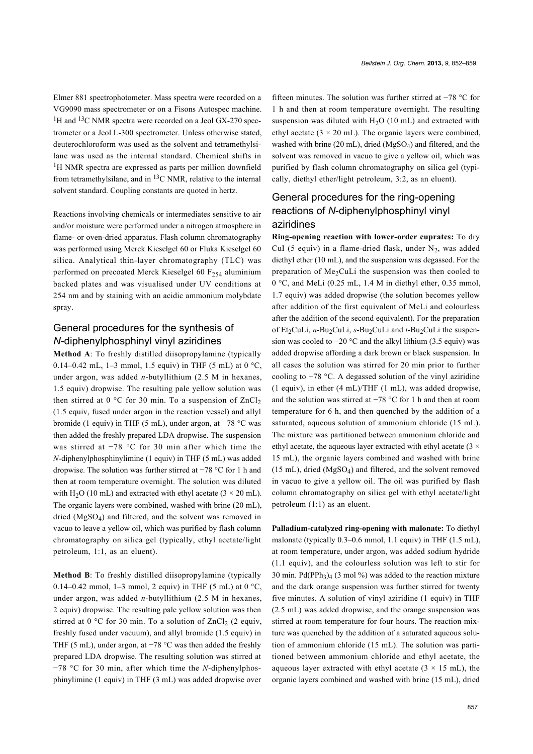Elmer 881 spectrophotometer. Mass spectra were recorded on a VG9090 mass spectrometer or on a Fisons Autospec machine. <sup>1</sup>H and <sup>13</sup>C NMR spectra were recorded on a Jeol GX-270 spectrometer or a Jeol L-300 spectrometer. Unless otherwise stated, deuterochloroform was used as the solvent and tetramethylsilane was used as the internal standard. Chemical shifts in <sup>1</sup>H NMR spectra are expressed as parts per million downfield from tetramethylsilane, and in  ${}^{13}C$  NMR, relative to the internal solvent standard. Coupling constants are quoted in hertz.

Reactions involving chemicals or intermediates sensitive to air and/or moisture were performed under a nitrogen atmosphere in flame- or oven-dried apparatus. Flash column chromatography was performed using Merck Kieselgel 60 or Fluka Kieselgel 60 silica. Analytical thin-layer chromatography (TLC) was performed on precoated Merck Kieselgel 60  $F_{254}$  aluminium backed plates and was visualised under UV conditions at 254 nm and by staining with an acidic ammonium molybdate spray.

## General procedures for the synthesis of *N*-diphenylphosphinyl vinyl aziridines

**Method A**: To freshly distilled diisopropylamine (typically 0.14–0.42 mL, 1–3 mmol, 1.5 equiv) in THF (5 mL) at 0 °C, under argon, was added *n*-butyllithium (2.5 M in hexanes, 1.5 equiv) dropwise. The resulting pale yellow solution was then stirred at 0  $^{\circ}$ C for 30 min. To a suspension of ZnCl<sub>2</sub> (1.5 equiv, fused under argon in the reaction vessel) and allyl bromide (1 equiv) in THF (5 mL), under argon, at −78 °C was then added the freshly prepared LDA dropwise. The suspension was stirred at −78 °C for 30 min after which time the *N*-diphenylphosphinylimine (1 equiv) in THF (5 mL) was added dropwise. The solution was further stirred at −78 °C for 1 h and then at room temperature overnight. The solution was diluted with H<sub>2</sub>O (10 mL) and extracted with ethyl acetate ( $3 \times 20$  mL). The organic layers were combined, washed with brine (20 mL), dried (MgSO4) and filtered, and the solvent was removed in vacuo to leave a yellow oil, which was purified by flash column chromatography on silica gel (typically, ethyl acetate/light petroleum, 1:1, as an eluent).

**Method B**: To freshly distilled diisopropylamine (typically 0.14–0.42 mmol, 1–3 mmol, 2 equiv) in THF (5 mL) at  $0^{\circ}$ C, under argon, was added *n*-butyllithium (2.5 M in hexanes, 2 equiv) dropwise. The resulting pale yellow solution was then stirred at  $0 °C$  for 30 min. To a solution of  $ZnCl<sub>2</sub>$  (2 equiv, freshly fused under vacuum), and allyl bromide (1.5 equiv) in THF (5 mL), under argon, at −78 °C was then added the freshly prepared LDA dropwise. The resulting solution was stirred at −78 °C for 30 min, after which time the *N*-diphenylphosphinylimine (1 equiv) in THF (3 mL) was added dropwise over

fifteen minutes. The solution was further stirred at −78 °C for 1 h and then at room temperature overnight. The resulting suspension was diluted with  $H<sub>2</sub>O$  (10 mL) and extracted with ethyl acetate  $(3 \times 20 \text{ mL})$ . The organic layers were combined, washed with brine (20 mL), dried (MgSO<sub>4</sub>) and filtered, and the solvent was removed in vacuo to give a yellow oil, which was purified by flash column chromatography on silica gel (typically, diethyl ether/light petroleum, 3:2, as an eluent).

# General procedures for the ring-opening reactions of *N*-diphenylphosphinyl vinyl aziridines

**Ring-opening reaction with lower-order cuprates:** To dry CuI (5 equiv) in a flame-dried flask, under  $N_2$ , was added diethyl ether (10 mL), and the suspension was degassed. For the preparation of  $Me<sub>2</sub>CuLi$  the suspension was then cooled to 0 °C, and MeLi (0.25 mL, 1.4 M in diethyl ether, 0.35 mmol, 1.7 equiv) was added dropwise (the solution becomes yellow after addition of the first equivalent of MeLi and colourless after the addition of the second equivalent). For the preparation of Et<sub>2</sub>CuLi, *n*-Bu<sub>2</sub>CuLi, *s*-Bu<sub>2</sub>CuLi and *t*-Bu<sub>2</sub>CuLi the suspension was cooled to −20 °C and the alkyl lithium (3.5 equiv) was added dropwise affording a dark brown or black suspension. In all cases the solution was stirred for 20 min prior to further cooling to −78 °C. A degassed solution of the vinyl aziridine (1 equiv), in ether (4 mL)/THF (1 mL), was added dropwise, and the solution was stirred at −78 °C for 1 h and then at room temperature for 6 h, and then quenched by the addition of a saturated, aqueous solution of ammonium chloride (15 mL). The mixture was partitioned between ammonium chloride and ethyl acetate, the aqueous layer extracted with ethyl acetate  $(3 \times$ 15 mL), the organic layers combined and washed with brine (15 mL), dried (MgSO4) and filtered, and the solvent removed in vacuo to give a yellow oil. The oil was purified by flash column chromatography on silica gel with ethyl acetate/light petroleum (1:1) as an eluent.

**Palladium-catalyzed ring-opening with malonate:** To diethyl malonate (typically 0.3–0.6 mmol, 1.1 equiv) in THF (1.5 mL), at room temperature, under argon, was added sodium hydride (1.1 equiv), and the colourless solution was left to stir for 30 min. Pd(PPh<sub>3</sub>)<sub>4</sub> (3 mol %) was added to the reaction mixture and the dark orange suspension was further stirred for twenty five minutes. A solution of vinyl aziridine (1 equiv) in THF (2.5 mL) was added dropwise, and the orange suspension was stirred at room temperature for four hours. The reaction mixture was quenched by the addition of a saturated aqueous solution of ammonium chloride (15 mL). The solution was partitioned between ammonium chloride and ethyl acetate, the aqueous layer extracted with ethyl acetate  $(3 \times 15 \text{ mL})$ , the organic layers combined and washed with brine (15 mL), dried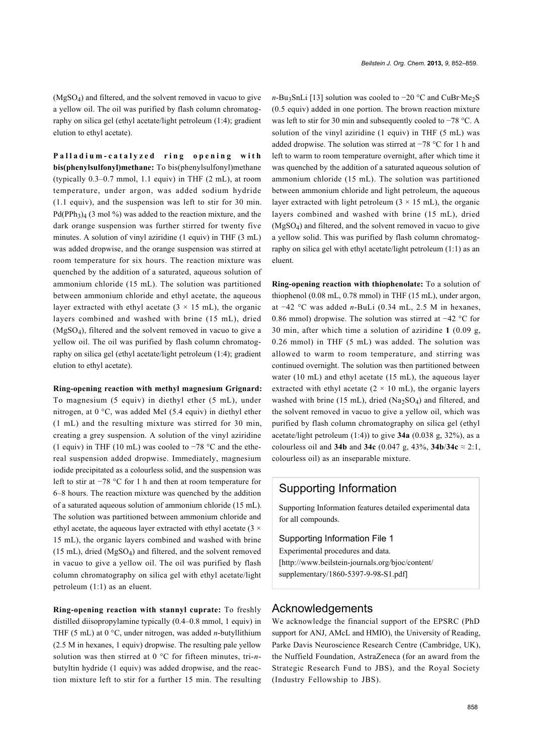$(MgSO<sub>4</sub>)$  and filtered, and the solvent removed in vacuo to give a yellow oil. The oil was purified by flash column chromatography on silica gel (ethyl acetate/light petroleum (1:4); gradient elution to ethyl acetate).

**Palladium-catalyzed ring opening with bis(phenylsulfonyl)methane:** To bis(phenylsulfonyl)methane (typically 0.3–0.7 mmol, 1.1 equiv) in THF (2 mL), at room temperature, under argon, was added sodium hydride (1.1 equiv), and the suspension was left to stir for 30 min.  $Pd(PPh<sub>3</sub>)<sub>4</sub>$  (3 mol %) was added to the reaction mixture, and the dark orange suspension was further stirred for twenty five minutes. A solution of vinyl aziridine (1 equiv) in THF (3 mL) was added dropwise, and the orange suspension was stirred at room temperature for six hours. The reaction mixture was quenched by the addition of a saturated, aqueous solution of ammonium chloride (15 mL). The solution was partitioned between ammonium chloride and ethyl acetate, the aqueous layer extracted with ethyl acetate  $(3 \times 15 \text{ mL})$ , the organic layers combined and washed with brine (15 mL), dried (MgSO4), filtered and the solvent removed in vacuo to give a yellow oil. The oil was purified by flash column chromatography on silica gel (ethyl acetate/light petroleum (1:4); gradient elution to ethyl acetate).

**Ring-opening reaction with methyl magnesium Grignard:**

To magnesium (5 equiv) in diethyl ether (5 mL), under nitrogen, at 0 °C, was added MeI (5.4 equiv) in diethyl ether (1 mL) and the resulting mixture was stirred for 30 min, creating a grey suspension. A solution of the vinyl aziridine (1 equiv) in THF (10 mL) was cooled to  $-78$  °C and the ethereal suspension added dropwise. Immediately, magnesium iodide precipitated as a colourless solid, and the suspension was left to stir at −78 °C for 1 h and then at room temperature for 6–8 hours. The reaction mixture was quenched by the addition of a saturated aqueous solution of ammonium chloride (15 mL). The solution was partitioned between ammonium chloride and ethyl acetate, the aqueous layer extracted with ethyl acetate  $(3 \times$ 15 mL), the organic layers combined and washed with brine (15 mL), dried (MgSO<sup>4</sup> ) and filtered, and the solvent removed in vacuo to give a yellow oil. The oil was purified by flash column chromatography on silica gel with ethyl acetate/light petroleum (1:1) as an eluent.

**Ring-opening reaction with stannyl cuprate:** To freshly distilled diisopropylamine typically (0.4–0.8 mmol, 1 equiv) in THF (5 mL) at 0 °C, under nitrogen, was added *n*-butyllithium (2.5 M in hexanes, 1 equiv) dropwise. The resulting pale yellow solution was then stirred at 0 °C for fifteen minutes, tri-*n*butyltin hydride (1 equiv) was added dropwise, and the reaction mixture left to stir for a further 15 min. The resulting

*n*-Bu<sub>3</sub>SnLi [\[13\]](#page-8-7) solution was cooled to −20 °C and CuBr·Me<sub>2</sub>S (0.5 equiv) added in one portion. The brown reaction mixture was left to stir for 30 min and subsequently cooled to −78 °C. A solution of the vinyl aziridine (1 equiv) in THF (5 mL) was added dropwise. The solution was stirred at −78 °C for 1 h and left to warm to room temperature overnight, after which time it was quenched by the addition of a saturated aqueous solution of ammonium chloride (15 mL). The solution was partitioned between ammonium chloride and light petroleum, the aqueous layer extracted with light petroleum  $(3 \times 15 \text{ mL})$ , the organic layers combined and washed with brine (15 mL), dried (MgSO4) and filtered, and the solvent removed in vacuo to give a yellow solid. This was purified by flash column chromatography on silica gel with ethyl acetate/light petroleum (1:1) as an eluent.

**Ring-opening reaction with thiophenolate:** To a solution of thiophenol (0.08 mL, 0.78 mmol) in THF (15 mL), under argon, at −42 °C was added *n*-BuLi (0.34 mL, 2.5 M in hexanes, 0.86 mmol) dropwise. The solution was stirred at −42 °C for 30 min, after which time a solution of aziridine **1** (0.09 g, 0.26 mmol) in THF (5 mL) was added. The solution was allowed to warm to room temperature, and stirring was continued overnight. The solution was then partitioned between water (10 mL) and ethyl acetate (15 mL), the aqueous layer extracted with ethyl acetate  $(2 \times 10 \text{ mL})$ , the organic layers washed with brine (15 mL), dried  $(Na<sub>2</sub>SO<sub>4</sub>)$  and filtered, and the solvent removed in vacuo to give a yellow oil, which was purified by flash column chromatography on silica gel (ethyl acetate/light petroleum (1:4)) to give **34a** (0.038 g, 32%), as a colourless oil and **34b** and **34c** (0.047 g, 43%, **34b**/**34c** ≈ 2:1, colourless oil) as an inseparable mixture.

## Supporting Information

Supporting Information features detailed experimental data for all compounds.

#### Supporting Information File 1

Experimental procedures and data. [\[http://www.beilstein-journals.org/bjoc/content/](http://www.beilstein-journals.org/bjoc/content/supplementary/1860-5397-9-98-S1.pdf) [supplementary/1860-5397-9-98-S1.pdf\]](http://www.beilstein-journals.org/bjoc/content/supplementary/1860-5397-9-98-S1.pdf)

### Acknowledgements

We acknowledge the financial support of the EPSRC (PhD support for ANJ, AMcL and HMIO), the University of Reading, Parke Davis Neuroscience Research Centre (Cambridge, UK), the Nuffield Foundation, AstraZeneca (for an award from the Strategic Research Fund to JBS), and the Royal Society (Industry Fellowship to JBS).